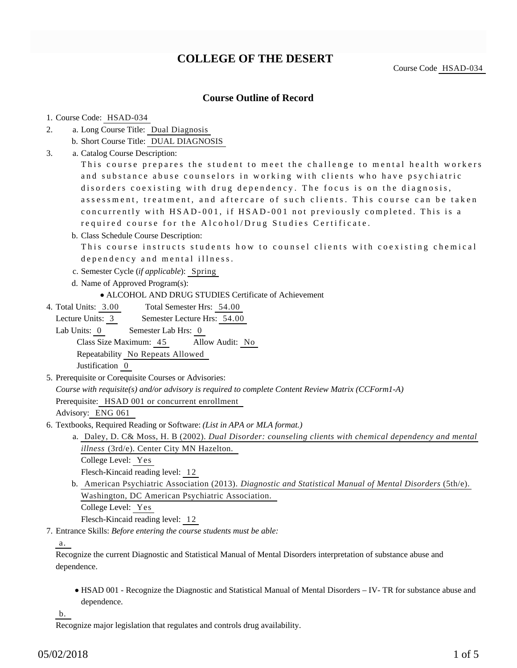## **COLLEGE OF THE DESERT**

Course Code HSAD-034

## **Course Outline of Record**

#### 1. Course Code: HSAD-034

- a. Long Course Title: Dual Diagnosis 2.
	- b. Short Course Title: DUAL DIAGNOSIS
- Catalog Course Description: a. 3.

This course prepares the student to meet the challenge to mental health workers and substance abuse counselors in working with clients who have psychiatric disorders coexisting with drug dependency. The focus is on the diagnosis, assessment, treatment, and aftercare of such clients. This course can be taken concurrently with HSAD-001, if HSAD-001 not previously completed. This is a required course for the Alcohol/Drug Studies Certificate.

b. Class Schedule Course Description:

This course instructs students how to counsel clients with coexisting chemical dependency and mental illness.

- c. Semester Cycle (*if applicable*): Spring
- d. Name of Approved Program(s):
	- ALCOHOL AND DRUG STUDIES Certificate of Achievement
- Total Semester Hrs: 54.00 4. Total Units: 3.00

Lecture Units: 3 Semester Lecture Hrs: 54.00

Lab Units: 0 Semester Lab Hrs: 0

Class Size Maximum: 45 Allow Audit: No

Repeatability No Repeats Allowed

Justification 0

5. Prerequisite or Corequisite Courses or Advisories:

*Course with requisite(s) and/or advisory is required to complete Content Review Matrix (CCForm1-A)*

Prerequisite: HSAD 001 or concurrent enrollment

Advisory: ENG 061

- 6. Textbooks, Required Reading or Software: (List in APA or MLA format.)
	- a. Daley, D. C& Moss, H. B (2002). *Dual Disorder: counseling clients with chemical dependency and mental illness* (3rd/e). Center City MN Hazelton.

College Level: Yes

Flesch-Kincaid reading level: 12

b. American Psychiatric Association (2013). *Diagnostic and Statistical Manual of Mental Disorders* (5th/e). Washington, DC American Psychiatric Association. College Level: Yes

Flesch-Kincaid reading level: 12

Entrance Skills: *Before entering the course students must be able:* 7.

## a.

Recognize the current Diagnostic and Statistical Manual of Mental Disorders interpretation of substance abuse and dependence.

HSAD 001 - Recognize the Diagnostic and Statistical Manual of Mental Disorders – IV- TR for substance abuse and dependence.

b.

Recognize major legislation that regulates and controls drug availability.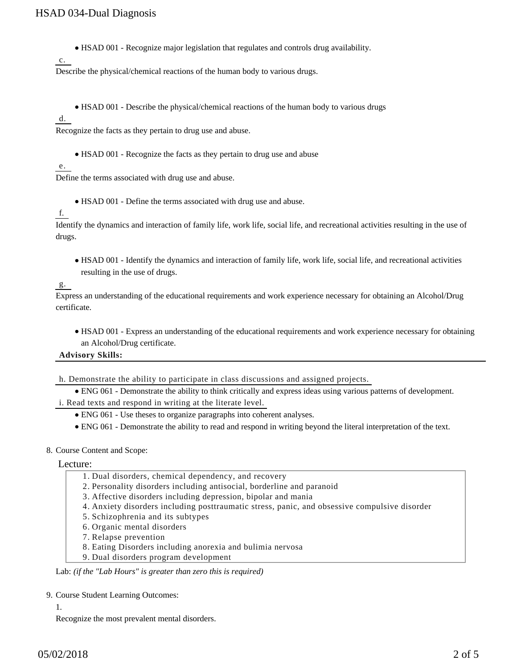HSAD 001 - Recognize major legislation that regulates and controls drug availability.

Describe the physical/chemical reactions of the human body to various drugs.

HSAD 001 - Describe the physical/chemical reactions of the human body to various drugs

d.

c.

Recognize the facts as they pertain to drug use and abuse.

HSAD 001 - Recognize the facts as they pertain to drug use and abuse

#### e.

Define the terms associated with drug use and abuse.

HSAD 001 - Define the terms associated with drug use and abuse.

#### f.

Identify the dynamics and interaction of family life, work life, social life, and recreational activities resulting in the use of drugs.

HSAD 001 - Identify the dynamics and interaction of family life, work life, social life, and recreational activities resulting in the use of drugs.

g.

Express an understanding of the educational requirements and work experience necessary for obtaining an Alcohol/Drug certificate.

HSAD 001 - Express an understanding of the educational requirements and work experience necessary for obtaining an Alcohol/Drug certificate.

**Advisory Skills:**

h. Demonstrate the ability to participate in class discussions and assigned projects.

ENG 061 - Demonstrate the ability to think critically and express ideas using various patterns of development.

i. Read texts and respond in writing at the literate level.

- ENG 061 Use theses to organize paragraphs into coherent analyses.
- ENG 061 Demonstrate the ability to read and respond in writing beyond the literal interpretation of the text.

#### 8. Course Content and Scope:

#### Lecture:

- 1. Dual disorders, chemical dependency, and recovery
- 2. Personality disorders including antisocial, borderline and paranoid
- 3. Affective disorders including depression, bipolar and mania
- 4. Anxiety disorders including posttraumatic stress, panic, and obsessive compulsive disorder
- 5. Schizophrenia and its subtypes
- 6. Organic mental disorders
- 7. Relapse prevention
- 8. Eating Disorders including anorexia and bulimia nervosa
- 9. Dual disorders program development

Lab: *(if the "Lab Hours" is greater than zero this is required)*

#### 9. Course Student Learning Outcomes:

1.

Recognize the most prevalent mental disorders.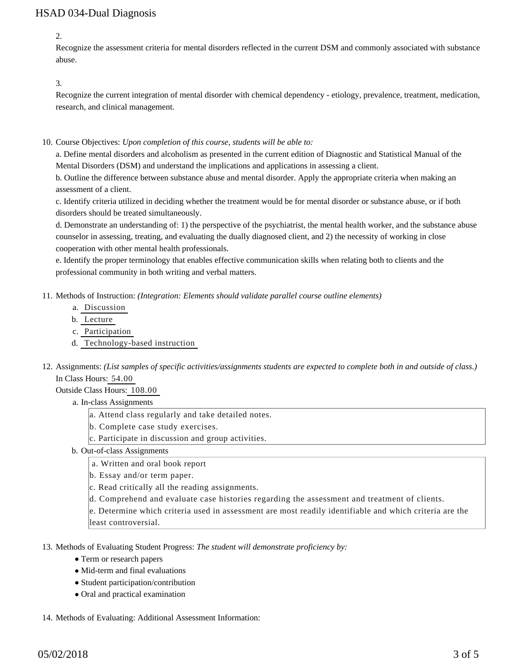## HSAD 034-Dual Diagnosis

2.

Recognize the assessment criteria for mental disorders reflected in the current DSM and commonly associated with substance abuse.

### 3.

Recognize the current integration of mental disorder with chemical dependency - etiology, prevalence, treatment, medication, research, and clinical management.

10. Course Objectives: Upon completion of this course, students will be able to:

a. Define mental disorders and alcoholism as presented in the current edition of Diagnostic and Statistical Manual of the Mental Disorders (DSM) and understand the implications and applications in assessing a client.

b. Outline the difference between substance abuse and mental disorder. Apply the appropriate criteria when making an assessment of a client.

c. Identify criteria utilized in deciding whether the treatment would be for mental disorder or substance abuse, or if both disorders should be treated simultaneously.

d. Demonstrate an understanding of: 1) the perspective of the psychiatrist, the mental health worker, and the substance abuse counselor in assessing, treating, and evaluating the dually diagnosed client, and 2) the necessity of working in close cooperation with other mental health professionals.

e. Identify the proper terminology that enables effective communication skills when relating both to clients and the professional community in both writing and verbal matters.

- 11. Methods of Instruction: *(Integration: Elements should validate parallel course outline elements)* 
	- a. Discussion
	- b. Lecture
	- c. Participation
	- d. Technology-based instruction
- 12. Assignments: (List samples of specific activities/assignments students are expected to complete both in and outside of class.) In Class Hours: 54.00

Outside Class Hours: 108.00

- a. In-class Assignments
	- a. Attend class regularly and take detailed notes.
	- b. Complete case study exercises.
	- c. Participate in discussion and group activities.
- b. Out-of-class Assignments
	- a. Written and oral book report
	- b. Essay and/or term paper.
	- c. Read critically all the reading assignments.
	- d. Comprehend and evaluate case histories regarding the assessment and treatment of clients.

e. Determine which criteria used in assessment are most readily identifiable and which criteria are the least controversial.

- 13. Methods of Evaluating Student Progress: The student will demonstrate proficiency by:
	- Term or research papers
	- Mid-term and final evaluations
	- Student participation/contribution
	- Oral and practical examination
- 14. Methods of Evaluating: Additional Assessment Information: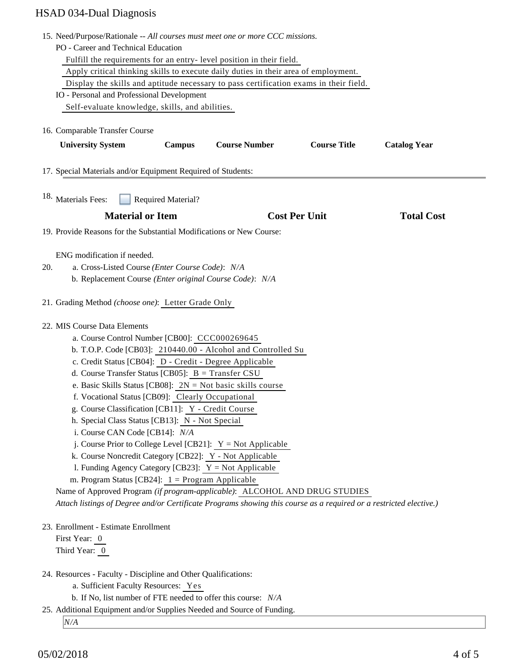# HSAD 034-Dual Diagnosis

|     | 15. Need/Purpose/Rationale -- All courses must meet one or more CCC missions.                                      |
|-----|--------------------------------------------------------------------------------------------------------------------|
|     | PO - Career and Technical Education                                                                                |
|     | Fulfill the requirements for an entry-level position in their field.                                               |
|     | Apply critical thinking skills to execute daily duties in their area of employment.                                |
|     | Display the skills and aptitude necessary to pass certification exams in their field.                              |
|     | IO - Personal and Professional Development                                                                         |
|     | Self-evaluate knowledge, skills, and abilities.                                                                    |
|     |                                                                                                                    |
|     | 16. Comparable Transfer Course                                                                                     |
|     | <b>Course Title</b><br><b>University System</b><br><b>Course Number</b><br><b>Catalog Year</b><br><b>Campus</b>    |
|     | 17. Special Materials and/or Equipment Required of Students:                                                       |
|     |                                                                                                                    |
|     | <sup>18.</sup> Materials Fees:<br><b>Required Material?</b>                                                        |
|     | <b>Material or Item</b><br><b>Cost Per Unit</b><br><b>Total Cost</b>                                               |
|     | 19. Provide Reasons for the Substantial Modifications or New Course:                                               |
|     |                                                                                                                    |
|     | ENG modification if needed.                                                                                        |
| 20. | a. Cross-Listed Course (Enter Course Code): N/A                                                                    |
|     | b. Replacement Course (Enter original Course Code): N/A                                                            |
|     |                                                                                                                    |
|     | 21. Grading Method (choose one): Letter Grade Only                                                                 |
|     | 22. MIS Course Data Elements                                                                                       |
|     | a. Course Control Number [CB00]: CCC000269645                                                                      |
|     | b. T.O.P. Code [CB03]: 210440.00 - Alcohol and Controlled Su                                                       |
|     | c. Credit Status [CB04]: D - Credit - Degree Applicable                                                            |
|     | d. Course Transfer Status [CB05]: $B = Transfer CSU$                                                               |
|     | e. Basic Skills Status [CB08]: $2N = Not basic skills course$                                                      |
|     | f. Vocational Status [CB09]: Clearly Occupational                                                                  |
|     | g. Course Classification [CB11]: Y - Credit Course                                                                 |
|     | h. Special Class Status [CB13]: N - Not Special                                                                    |
|     | i. Course CAN Code [CB14]: N/A                                                                                     |
|     | j. Course Prior to College Level [CB21]: $Y = Not$ Applicable                                                      |
|     | k. Course Noncredit Category [CB22]: Y - Not Applicable                                                            |
|     | 1. Funding Agency Category [CB23]: $Y = Not$ Applicable                                                            |
|     | m. Program Status [CB24]: $1 =$ Program Applicable                                                                 |
|     | Name of Approved Program (if program-applicable): ALCOHOL AND DRUG STUDIES                                         |
|     | Attach listings of Degree and/or Certificate Programs showing this course as a required or a restricted elective.) |
|     | 23. Enrollment - Estimate Enrollment                                                                               |
|     | First Year: 0                                                                                                      |
|     | Third Year: 0                                                                                                      |
|     |                                                                                                                    |
|     | 24. Resources - Faculty - Discipline and Other Qualifications:                                                     |
|     | a. Sufficient Faculty Resources: Yes                                                                               |
|     | b. If No, list number of FTE needed to offer this course: N/A                                                      |
|     | 25. Additional Equipment and/or Supplies Needed and Source of Funding.                                             |
|     | N/A                                                                                                                |